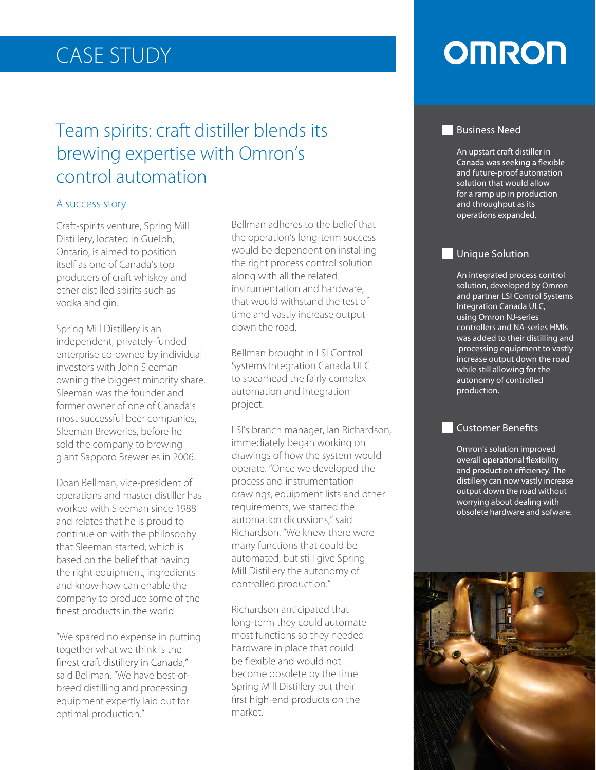## CASE STUDY

### Team spirits: craft distiller blends its brewing expertise with Omron's control automation

#### A success story

Craft-spirits venture, Spring Mill Distillery, located in Guelph, Ontario, is aimed to position itself as one of Canada's top producers of craft whiskey and other distilled spirits such as vodka and gin.

Spring Mill Distillery is an independent, privately-funded enterprise co-owned by individual investors with John Sleeman owning the biggest minority share. Sleeman was the founder and former owner of one of Canada's most successful beer companies, Sleeman Breweries, before he sold the company to brewing giant Sapporo Breweries in 2006.

Doan Bellman, vice-president of operations and master distiller has worked with Sleeman since 1988 and relates that he is proud to continue on with the philosophy that Sleeman started, which is based on the belief that having the right equipment, ingredients and know-how can enable the company to produce some of the finest products in the world.

"We spared no expense in putting together what we think is the finest craft distillery in Canada," said Bellman. "We have best-ofbreed distilling and processing equipment expertly laid out for optimal production."

Bellman adheres to the belief that the operation's long-term success would be dependent on installing the right process control solution along with all the related instrumentation and hardware, that would withstand the test of time and vastly increase output down the road.

Bellman brought in LSI Control Systems Integration Canada ULC to spearhead the fairly complex automation and integration project.

LSI's branch manager, Ian Richardson, immediately began working on drawings of how the system would operate. "Once we developed the process and instrumentation drawings, equipment lists and other requirements, we started the automation dicussions," said Richardson. "We knew there were many functions that could be automated, but still give Spring Mill Distillery the autonomy of controlled production."

Richardson anticipated that long-term they could automate most functions so they needed hardware in place that could be flexible and would not become obsolete by the time Spring Mill Distillery put their first high-end products on the market.

## **OMRON**

#### **Business Need**

An upstart craft distiller in Canada was seeking a flexible and future-proof automation solution that would allow for a ramp up in production and throughput as its operations expanded.

#### **Unique Solution**

An integrated process control solution, developed by Omron and partner LSI Control Systems Integration Canada ULC, using Omron NJ-series controllers and NA-series HMIs was added to their distilling and processing equipment to vastly increase output down the road while still allowing for the autonomy of controlled production.

#### Customer Benefits

Omron's solution improved overall operational flexibility and production efficiency. The distillery can now vastly increase output down the road without worrying about dealing with obsolete hardware and sofware.